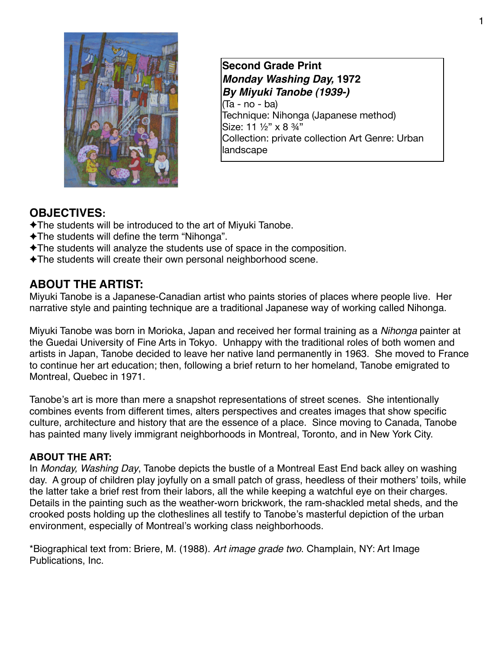

**Second Grade Print** *Monday Washing Day,* **1972**  *By Miyuki Tanobe (1939-)*  (Ta - no - ba) Technique: Nihonga (Japanese method) Size: 11 1/2" x 8 3/4" Collection: private collection Art Genre: Urban landscape

# **OBJECTIVES:**

- ✦The students will be introduced to the art of Miyuki Tanobe.
- ✦The students will define the term "Nihonga".
- ✦The students will analyze the students use of space in the composition.
- ✦The students will create their own personal neighborhood scene.

**ABOUT THE ARTIST:**<br>Miyuki Tanobe is a Japanese-Canadian artist who paints stories of places where people live. Her narrative style and painting technique are a traditional Japanese way of working called Nihonga.

Miyuki Tanobe was born in Morioka, Japan and received her formal training as a *Nihonga* painter at the Guedai University of Fine Arts in Tokyo. Unhappy with the traditional roles of both women and artists in Japan, Tanobe decided to leave her native land permanently in 1963. She moved to France to continue her art education; then, following a brief return to her homeland, Tanobe emigrated to Montreal, Quebec in 1971.

Tanobe's art is more than mere a snapshot representations of street scenes. She intentionally combines events from different times, alters perspectives and creates images that show specific culture, architecture and history that are the essence of a place. Since moving to Canada, Tanobe has painted many lively immigrant neighborhoods in Montreal, Toronto, and in New York City.

#### **ABOUT THE ART:**

In *Monday, Washing Day*, Tanobe depicts the bustle of a Montreal East End back alley on washing day. A group of children play joyfully on a small patch of grass, heedless of their mothers' toils, while the latter take a brief rest from their labors, all the while keeping a watchful eye on their charges. Details in the painting such as the weather-worn brickwork, the ram-shackled metal sheds, and the crooked posts holding up the clotheslines all testify to Tanobe's masterful depiction of the urban environment, especially of Montreal's working class neighborhoods.

\*Biographical text from: Briere, M. (1988). *Art image grade two*. Champlain, NY: Art Image Publications, Inc.